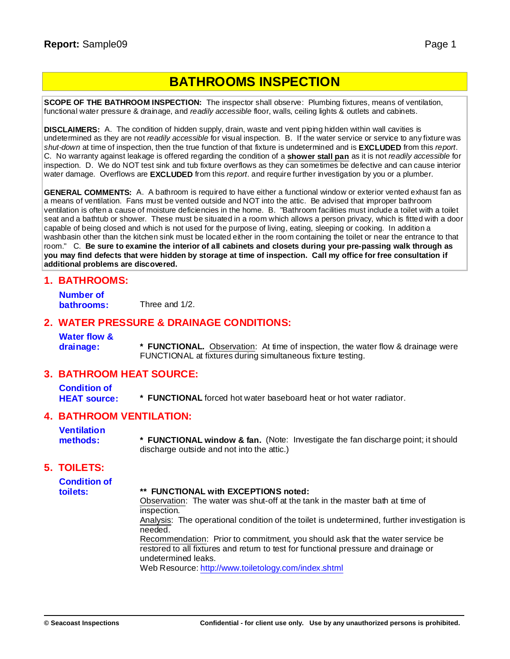# **BATHROOMS INSPECTION**

**SCOPE OF THE BATHROOM INSPECTION:** The inspector shall observe: Plumbing fixtures, means of ventilation, functional water pressure & drainage, and *readily accessible* floor, walls, ceiling lights & outlets and cabinets.

**DISCLAIMERS:** A. The condition of hidden supply, drain, waste and vent piping hidden within wall cavities is undetermined as they are not *readily accessible* for visual inspection. B. If the water service or service to any fixture was *shut-down* at time of inspection, then the true function of that fixture is undetermined and is **EXCLUDED** from this *report*. C. No warranty against leakage is offered regarding the condition of a **shower stall pan** as it is not *readily accessible* for inspection. D. We do NOT test sink and tub fixture overflows as they can sometimes be defective and can cause interior water damage. Overflows are **EXCLUDED** from this *report*. and require further investigation by you or a plumber.

**GENERAL COMMENTS:** A. A bathroom is required to have either a functional window or exterior vented exhaust fan as a means of ventilation. Fans must be vented outside and NOT into the attic. Be advised that improper bathroom ventilation is often a cause of moisture deficiencies in the home. B. "Bathroom facilities must include a toilet with a toilet seat and a bathtub or shower. These must be situated in a room which allows a person privacy, which is fitted with a door capable of being closed and which is not used for the purpose of living, eating, sleeping or cooking. In addition a washbasin other than the kitchen sink must be located either in the room containing the toilet or near the entrance to that room." C. Be sure to examine the interior of all cabinets and closets during your pre-passing walk through as you may find defects that were hidden by storage at time of inspection. Call my office for free consultation if **additional problems are discovered.**

#### **1. BATHROOMS:**

**Number of bathrooms:** Three and 1/2.

#### **2. WATER PRESSURE & DRAINAGE CONDITIONS:**

**Water flow &**

**drainage: \* FUNCTIONAL.** Observation: At time of inspection, the water flow & drainage were FUNCTIONAL at fixtures during simultaneous fixture testing.

#### **3. BATHROOM HEAT SOURCE:**

**Condition of HEAT source: \* FUNCTIONAL** forced hot water baseboard heat or hot water radiator.

#### **4. BATHROOM VENTILATION:**

**Ventilation methods: \* FUNCTIONAL window & fan.** (Note: Investigate the fan discharge point; it should discharge outside and not into the attic.)

#### **5. TOILETS:**

**Condition of toilets: \*\* FUNCTIONAL with EXCEPTIONS noted:** Observation: The water was shut-off at the tank in the master bath at time of inspection. Analysis: The operational condition of the toilet is undetermined, further investigation is needed. Recommendation: Prior to commitment, you should ask that the water service be restored to all fixtures and return to test for functional pressure and drainage or

undetermined leaks.

Web Resource: [http://w](http://www.toiletology.com/index.shtml)[ww.toiletology.com/index.shtml](www.toiletology.com/index.shtml)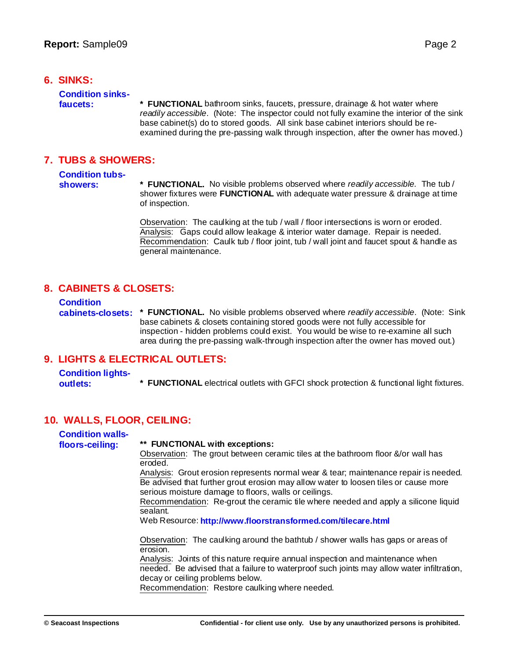#### **6. SINKS:**

# **Condition sinks-**

**faucets: \* FUNCTIONAL** bathroom sinks, faucets, pressure, drainage & hot water where *readily accessible*. (Note: The inspector could not fully examine the interior of the sink base cabinet(s) do to stored goods. All sink base cabinet interiors should be reexamined during the pre-passing walk through inspection, after the owner has moved.)

#### **7. TUBS & SHOWERS:**

# **Condition tubs-**

**showers: \* FUNCTIONAL.** No visible problems observed where *readily accessible.* The tub / shower fixtures were **FUNCTIONAL** with adequate water pressure & drainage at time of inspection.

> Observation: The caulking at the tub / wall / floor intersections is worn or eroded. Analysis: Gaps could allow leakage & interior water damage. Repair is needed. Recommendation: Caulk tub / floor joint, tub / wall joint and faucet spout & handle as general maintenance.

# **8. CABINETS & CLOSETS:**

**Condition**

**cabinets-closets: \* FUNCTIONAL.** No visible problems observed where *readily accessible*. (Note: Sink base cabinets & closets containing stored goods were not fully accessible for inspection - hidden problems could exist. You would be wise to re-examine all such area during the pre-passing walk-through inspection after the owner has moved out.)

# **9. LIGHTS & ELECTRICAL OUTLETS:**

**Condition lightsoutlets: \* FUNCTIONAL** electrical outlets with GFCI shock protection & functional light fixtures.

# **10. WALLS, FLOOR, CEILING:**

| <b>Condition walls-</b> |                                                                                                                                                                                                                                      |
|-------------------------|--------------------------------------------------------------------------------------------------------------------------------------------------------------------------------------------------------------------------------------|
| floors-ceiling:         | ** FUNCTIONAL with exceptions:                                                                                                                                                                                                       |
|                         | Observation: The grout between ceramic tiles at the bathroom floor &/or wall has<br>eroded.                                                                                                                                          |
|                         | Analysis: Grout erosion represents normal wear & tear; maintenance repair is needed.<br>Be advised that further grout erosion may allow water to loosen tiles or cause more<br>serious moisture damage to floors, walls or ceilings. |
|                         | Recommendation: Re-grout the ceramic tile where needed and apply a silicone liquid<br>sealant.                                                                                                                                       |
|                         | Web Resource: http://www.floorstransformed.com/tilecare.html                                                                                                                                                                         |
|                         | Observation: The caulking around the bathtub / shower walls has gaps or areas of<br>erosion.                                                                                                                                         |
|                         | Analysis: Joints of this nature require annual inspection and maintenance when<br>needed. Be advised that a failure to waterproof such joints may allow water infiltration,<br>decay or ceiling problems below.                      |
|                         | Recommendation: Restore caulking where needed.                                                                                                                                                                                       |